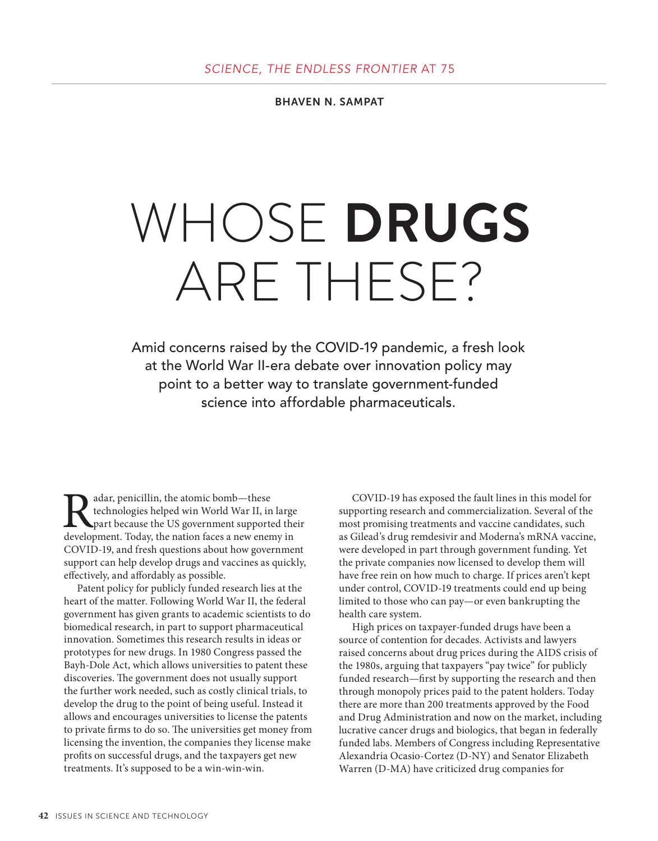BHAVEN N. SAMPAT

# WHOSE **DRUGS**  ARE THESE?

Amid concerns raised by the COVID-19 pandemic, a fresh look at the World War II-era debate over innovation policy may point to a better way to translate government-funded science into affordable pharmaceuticals.

Radar, penicillin, the atomic bomb—these<br>technologies helped win World War II, in<br>part because the US government supports<br>development. Today, the nation faces a new ener technologies helped win World War II, in large part because the US government supported their development. Today, the nation faces a new enemy in COVID-19, and fresh questions about how government support can help develop drugs and vaccines as quickly, effectively, and affordably as possible.

Patent policy for publicly funded research lies at the heart of the matter. Following World War II, the federal government has given grants to academic scientists to do biomedical research, in part to support pharmaceutical innovation. Sometimes this research results in ideas or prototypes for new drugs. In 1980 Congress passed the Bayh-Dole Act, which allows universities to patent these discoveries. The government does not usually support the further work needed, such as costly clinical trials, to develop the drug to the point of being useful. Instead it allows and encourages universities to license the patents to private firms to do so. The universities get money from licensing the invention, the companies they license make profits on successful drugs, and the taxpayers get new treatments. It's supposed to be a win-win-win.

COVID-19 has exposed the fault lines in this model for supporting research and commercialization. Several of the most promising treatments and vaccine candidates, such as Gilead's drug remdesivir and Moderna's mRNA vaccine, were developed in part through government funding. Yet the private companies now licensed to develop them will have free rein on how much to charge. If prices aren't kept under control, COVID-19 treatments could end up being limited to those who can pay—or even bankrupting the health care system.

High prices on taxpayer-funded drugs have been a source of contention for decades. Activists and lawyers raised concerns about drug prices during the AIDS crisis of the 1980s, arguing that taxpayers "pay twice" for publicly funded research—first by supporting the research and then through monopoly prices paid to the patent holders. Today there are more than 200 treatments approved by the Food and Drug Administration and now on the market, including lucrative cancer drugs and biologics, that began in federally funded labs. Members of Congress including Representative Alexandria Ocasio-Cortez (D-NY) and Senator Elizabeth Warren (D-MA) have criticized drug companies for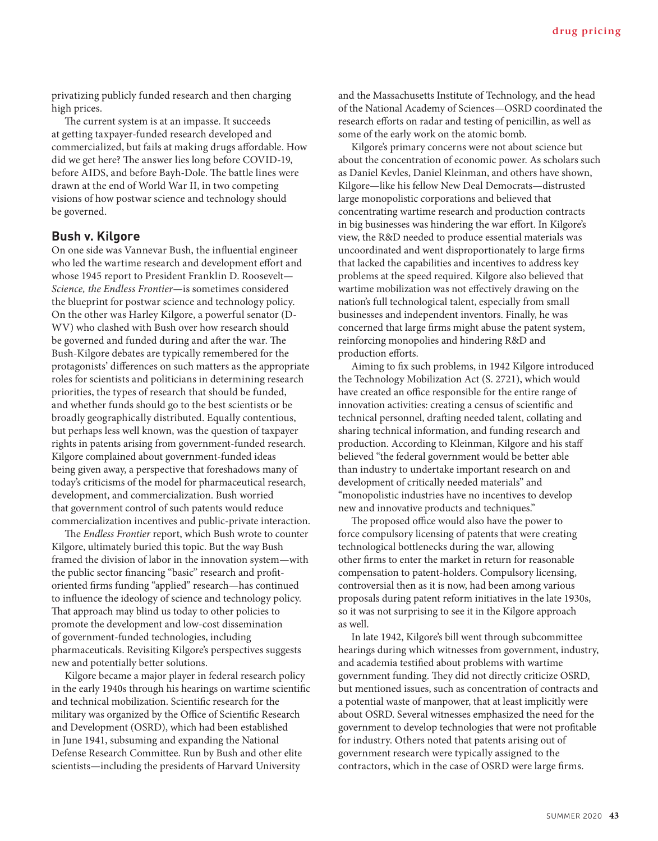privatizing publicly funded research and then charging high prices.

The current system is at an impasse. It succeeds at getting taxpayer-funded research developed and commercialized, but fails at making drugs affordable. How did we get here? The answer lies long before COVID-19, before AIDS, and before Bayh-Dole. The battle lines were drawn at the end of World War II, in two competing visions of how postwar science and technology should be governed.

### **Bush v. Kilgore**

On one side was Vannevar Bush, the influential engineer who led the wartime research and development effort and whose 1945 report to President Franklin D. Roosevelt— *Science, the Endless Frontier*—is sometimes considered the blueprint for postwar science and technology policy. On the other was Harley Kilgore, a powerful senator (D-WV) who clashed with Bush over how research should be governed and funded during and after the war. The Bush-Kilgore debates are typically remembered for the protagonists' differences on such matters as the appropriate roles for scientists and politicians in determining research priorities, the types of research that should be funded, and whether funds should go to the best scientists or be broadly geographically distributed. Equally contentious, but perhaps less well known, was the question of taxpayer rights in patents arising from government-funded research. Kilgore complained about government-funded ideas being given away, a perspective that foreshadows many of today's criticisms of the model for pharmaceutical research, development, and commercialization. Bush worried that government control of such patents would reduce commercialization incentives and public-private interaction.

The *Endless Frontier* report, which Bush wrote to counter Kilgore, ultimately buried this topic. But the way Bush framed the division of labor in the innovation system—with the public sector financing "basic" research and profitoriented firms funding "applied" research—has continued to influence the ideology of science and technology policy. That approach may blind us today to other policies to promote the development and low-cost dissemination of government-funded technologies, including pharmaceuticals. Revisiting Kilgore's perspectives suggests new and potentially better solutions.

Kilgore became a major player in federal research policy in the early 1940s through his hearings on wartime scientific and technical mobilization. Scientific research for the military was organized by the Office of Scientific Research and Development (OSRD), which had been established in June 1941, subsuming and expanding the National Defense Research Committee. Run by Bush and other elite scientists—including the presidents of Harvard University

and the Massachusetts Institute of Technology, and the head of the National Academy of Sciences—OSRD coordinated the research efforts on radar and testing of penicillin, as well as some of the early work on the atomic bomb.

Kilgore's primary concerns were not about science but about the concentration of economic power. As scholars such as Daniel Kevles, Daniel Kleinman, and others have shown, Kilgore—like his fellow New Deal Democrats—distrusted large monopolistic corporations and believed that concentrating wartime research and production contracts in big businesses was hindering the war effort. In Kilgore's view, the R&D needed to produce essential materials was uncoordinated and went disproportionately to large firms that lacked the capabilities and incentives to address key problems at the speed required. Kilgore also believed that wartime mobilization was not effectively drawing on the nation's full technological talent, especially from small businesses and independent inventors. Finally, he was concerned that large firms might abuse the patent system, reinforcing monopolies and hindering R&D and production efforts.

Aiming to fix such problems, in 1942 Kilgore introduced the Technology Mobilization Act (S. 2721), which would have created an office responsible for the entire range of innovation activities: creating a census of scientific and technical personnel, drafting needed talent, collating and sharing technical information, and funding research and production. According to Kleinman, Kilgore and his staff believed "the federal government would be better able than industry to undertake important research on and development of critically needed materials" and "monopolistic industries have no incentives to develop new and innovative products and techniques."

The proposed office would also have the power to force compulsory licensing of patents that were creating technological bottlenecks during the war, allowing other firms to enter the market in return for reasonable compensation to patent-holders. Compulsory licensing, controversial then as it is now, had been among various proposals during patent reform initiatives in the late 1930s, so it was not surprising to see it in the Kilgore approach as well.

In late 1942, Kilgore's bill went through subcommittee hearings during which witnesses from government, industry, and academia testified about problems with wartime government funding. They did not directly criticize OSRD, but mentioned issues, such as concentration of contracts and a potential waste of manpower, that at least implicitly were about OSRD. Several witnesses emphasized the need for the government to develop technologies that were not profitable for industry. Others noted that patents arising out of government research were typically assigned to the contractors, which in the case of OSRD were large firms.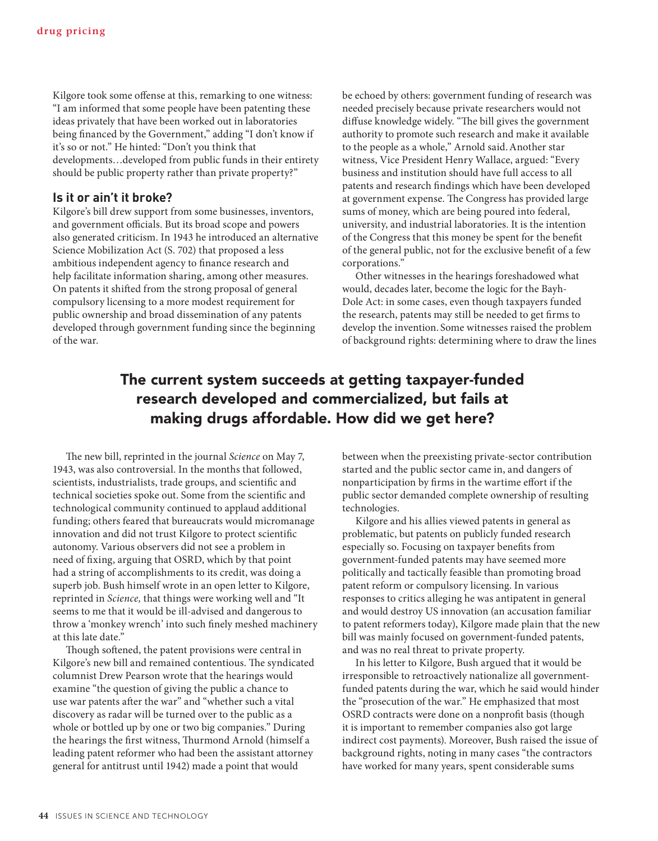Kilgore took some offense at this, remarking to one witness: "I am informed that some people have been patenting these ideas privately that have been worked out in laboratories being financed by the Government," adding "I don't know if it's so or not." He hinted: "Don't you think that developments…developed from public funds in their entirety should be public property rather than private property?"

#### **Is it or ain't it broke?**

Kilgore's bill drew support from some businesses, inventors, and government officials. But its broad scope and powers also generated criticism. In 1943 he introduced an alternative Science Mobilization Act (S. 702) that proposed a less ambitious independent agency to finance research and help facilitate information sharing, among other measures. On patents it shifted from the strong proposal of general compulsory licensing to a more modest requirement for public ownership and broad dissemination of any patents developed through government funding since the beginning of the war.

be echoed by others: government funding of research was needed precisely because private researchers would not diffuse knowledge widely. "The bill gives the government authority to promote such research and make it available to the people as a whole," Arnold said.Another star witness, Vice President Henry Wallace, argued: "Every business and institution should have full access to all patents and research findings which have been developed at government expense. The Congress has provided large sums of money, which are being poured into federal, university, and industrial laboratories. It is the intention of the Congress that this money be spent for the benefit of the general public, not for the exclusive benefit of a few corporations."

Other witnesses in the hearings foreshadowed what would, decades later, become the logic for the Bayh-Dole Act: in some cases, even though taxpayers funded the research, patents may still be needed to get firms to develop the invention. Some witnesses raised the problem of background rights: determining where to draw the lines

# The current system succeeds at getting taxpayer-funded research developed and commercialized, but fails at making drugs affordable. How did we get here?

The new bill, reprinted in the journal *Science* on May 7, 1943, was also controversial. In the months that followed, scientists, industrialists, trade groups, and scientific and technical societies spoke out. Some from the scientific and technological community continued to applaud additional funding; others feared that bureaucrats would micromanage innovation and did not trust Kilgore to protect scientific autonomy. Various observers did not see a problem in need of fixing, arguing that OSRD, which by that point had a string of accomplishments to its credit, was doing a superb job. Bush himself wrote in an open letter to Kilgore, reprinted in *Science,* that things were working well and "It seems to me that it would be ill-advised and dangerous to throw a 'monkey wrench' into such finely meshed machinery at this late date."

Though softened, the patent provisions were central in Kilgore's new bill and remained contentious. The syndicated columnist Drew Pearson wrote that the hearings would examine "the question of giving the public a chance to use war patents after the war" and "whether such a vital discovery as radar will be turned over to the public as a whole or bottled up by one or two big companies." During the hearings the first witness, Thurmond Arnold (himself a leading patent reformer who had been the assistant attorney general for antitrust until 1942) made a point that would

between when the preexisting private-sector contribution started and the public sector came in, and dangers of nonparticipation by firms in the wartime effort if the public sector demanded complete ownership of resulting technologies.

Kilgore and his allies viewed patents in general as problematic, but patents on publicly funded research especially so. Focusing on taxpayer benefits from government-funded patents may have seemed more politically and tactically feasible than promoting broad patent reform or compulsory licensing. In various responses to critics alleging he was antipatent in general and would destroy US innovation (an accusation familiar to patent reformers today), Kilgore made plain that the new bill was mainly focused on government-funded patents, and was no real threat to private property.

In his letter to Kilgore, Bush argued that it would be irresponsible to retroactively nationalize all governmentfunded patents during the war, which he said would hinder the "prosecution of the war." He emphasized that most OSRD contracts were done on a nonprofit basis (though it is important to remember companies also got large indirect cost payments). Moreover, Bush raised the issue of background rights, noting in many cases "the contractors have worked for many years, spent considerable sums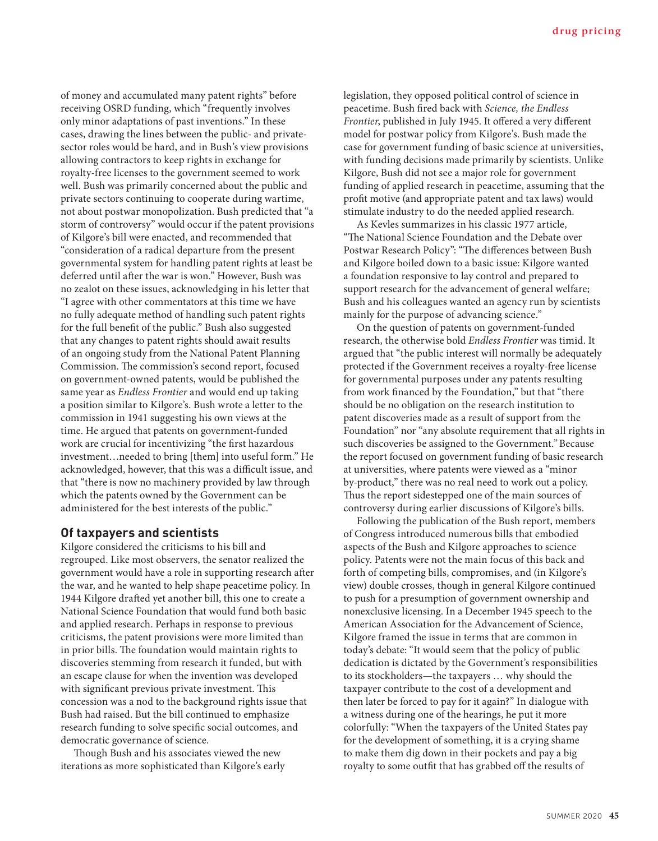of money and accumulated many patent rights" before receiving OSRD funding, which "frequently involves only minor adaptations of past inventions." In these cases, drawing the lines between the public- and privatesector roles would be hard, and in Bush's view provisions allowing contractors to keep rights in exchange for royalty-free licenses to the government seemed to work well. Bush was primarily concerned about the public and private sectors continuing to cooperate during wartime, not about postwar monopolization. Bush predicted that "a storm of controversy" would occur if the patent provisions of Kilgore's bill were enacted, and recommended that "consideration of a radical departure from the present governmental system for handling patent rights at least be deferred until after the war is won." However, Bush was no zealot on these issues, acknowledging in his letter that "I agree with other commentators at this time we have no fully adequate method of handling such patent rights for the full benefit of the public." Bush also suggested that any changes to patent rights should await results of an ongoing study from the National Patent Planning Commission. The commission's second report, focused on government-owned patents, would be published the same year as *Endless Frontier* and would end up taking a position similar to Kilgore's. Bush wrote a letter to the commission in 1941 suggesting his own views at the time. He argued that patents on government-funded work are crucial for incentivizing "the first hazardous investment…needed to bring [them] into useful form." He acknowledged, however, that this was a difficult issue, and that "there is now no machinery provided by law through which the patents owned by the Government can be administered for the best interests of the public."

## **Of taxpayers and scientists**

Kilgore considered the criticisms to his bill and regrouped. Like most observers, the senator realized the government would have a role in supporting research after the war, and he wanted to help shape peacetime policy. In 1944 Kilgore drafted yet another bill, this one to create a National Science Foundation that would fund both basic and applied research. Perhaps in response to previous criticisms, the patent provisions were more limited than in prior bills. The foundation would maintain rights to discoveries stemming from research it funded, but with an escape clause for when the invention was developed with significant previous private investment. This concession was a nod to the background rights issue that Bush had raised. But the bill continued to emphasize research funding to solve specific social outcomes, and democratic governance of science.

Though Bush and his associates viewed the new iterations as more sophisticated than Kilgore's early legislation, they opposed political control of science in peacetime. Bush fired back with *Science, the Endless Frontier*, published in July 1945. It offered a very different model for postwar policy from Kilgore's. Bush made the case for government funding of basic science at universities, with funding decisions made primarily by scientists. Unlike Kilgore, Bush did not see a major role for government funding of applied research in peacetime, assuming that the profit motive (and appropriate patent and tax laws) would stimulate industry to do the needed applied research.

As Kevles summarizes in his classic 1977 article, "The National Science Foundation and the Debate over Postwar Research Policy": "The differences between Bush and Kilgore boiled down to a basic issue: Kilgore wanted a foundation responsive to lay control and prepared to support research for the advancement of general welfare; Bush and his colleagues wanted an agency run by scientists mainly for the purpose of advancing science."

On the question of patents on government-funded research, the otherwise bold *Endless Frontier* was timid. It argued that "the public interest will normally be adequately protected if the Government receives a royalty-free license for governmental purposes under any patents resulting from work financed by the Foundation," but that "there should be no obligation on the research institution to patent discoveries made as a result of support from the Foundation" nor "any absolute requirement that all rights in such discoveries be assigned to the Government." Because the report focused on government funding of basic research at universities, where patents were viewed as a "minor by-product," there was no real need to work out a policy. Thus the report sidestepped one of the main sources of controversy during earlier discussions of Kilgore's bills.

Following the publication of the Bush report, members of Congress introduced numerous bills that embodied aspects of the Bush and Kilgore approaches to science policy. Patents were not the main focus of this back and forth of competing bills, compromises, and (in Kilgore's view) double crosses, though in general Kilgore continued to push for a presumption of government ownership and nonexclusive licensing. In a December 1945 speech to the American Association for the Advancement of Science, Kilgore framed the issue in terms that are common in today's debate: "It would seem that the policy of public dedication is dictated by the Government's responsibilities to its stockholders—the taxpayers … why should the taxpayer contribute to the cost of a development and then later be forced to pay for it again?" In dialogue with a witness during one of the hearings, he put it more colorfully: "When the taxpayers of the United States pay for the development of something, it is a crying shame to make them dig down in their pockets and pay a big royalty to some outfit that has grabbed off the results of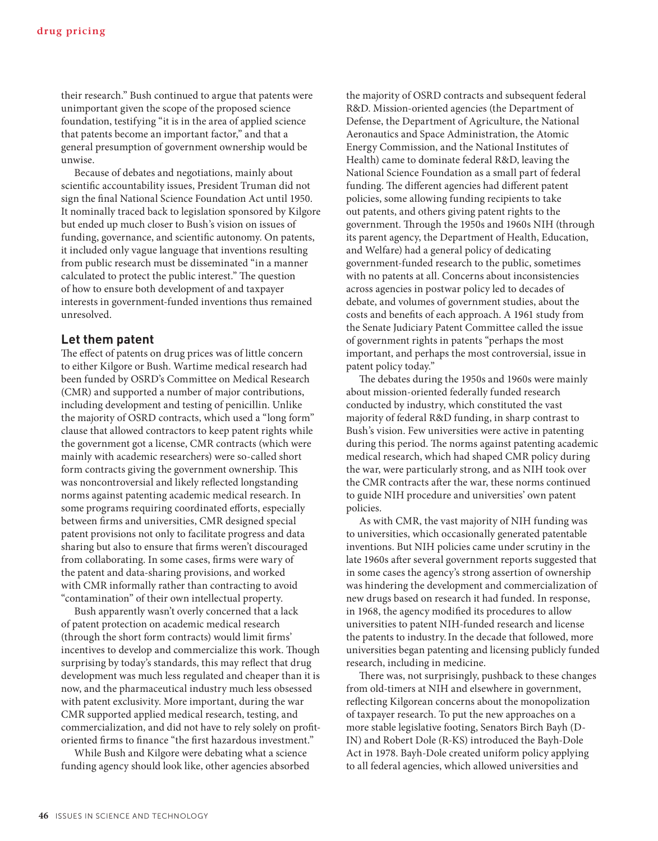their research." Bush continued to argue that patents were unimportant given the scope of the proposed science foundation, testifying "it is in the area of applied science that patents become an important factor," and that a general presumption of government ownership would be unwise.

Because of debates and negotiations, mainly about scientific accountability issues, President Truman did not sign the final National Science Foundation Act until 1950. It nominally traced back to legislation sponsored by Kilgore but ended up much closer to Bush's vision on issues of funding, governance, and scientific autonomy. On patents, it included only vague language that inventions resulting from public research must be disseminated "in a manner calculated to protect the public interest." The question of how to ensure both development of and taxpayer interests in government-funded inventions thus remained unresolved.

#### **Let them patent**

The effect of patents on drug prices was of little concern to either Kilgore or Bush. Wartime medical research had been funded by OSRD's Committee on Medical Research (CMR) and supported a number of major contributions, including development and testing of penicillin. Unlike the majority of OSRD contracts, which used a "long form" clause that allowed contractors to keep patent rights while the government got a license, CMR contracts (which were mainly with academic researchers) were so-called short form contracts giving the government ownership. This was noncontroversial and likely reflected longstanding norms against patenting academic medical research. In some programs requiring coordinated efforts, especially between firms and universities, CMR designed special patent provisions not only to facilitate progress and data sharing but also to ensure that firms weren't discouraged from collaborating. In some cases, firms were wary of the patent and data-sharing provisions, and worked with CMR informally rather than contracting to avoid "contamination" of their own intellectual property.

Bush apparently wasn't overly concerned that a lack of patent protection on academic medical research (through the short form contracts) would limit firms' incentives to develop and commercialize this work. Though surprising by today's standards, this may reflect that drug development was much less regulated and cheaper than it is now, and the pharmaceutical industry much less obsessed with patent exclusivity. More important, during the war CMR supported applied medical research, testing, and commercialization, and did not have to rely solely on profitoriented firms to finance "the first hazardous investment."

While Bush and Kilgore were debating what a science funding agency should look like, other agencies absorbed

the majority of OSRD contracts and subsequent federal R&D. Mission-oriented agencies (the Department of Defense, the Department of Agriculture, the National Aeronautics and Space Administration, the Atomic Energy Commission, and the National Institutes of Health) came to dominate federal R&D, leaving the National Science Foundation as a small part of federal funding. The different agencies had different patent policies, some allowing funding recipients to take out patents, and others giving patent rights to the government. Through the 1950s and 1960s NIH (through its parent agency, the Department of Health, Education, and Welfare) had a general policy of dedicating government-funded research to the public, sometimes with no patents at all. Concerns about inconsistencies across agencies in postwar policy led to decades of debate, and volumes of government studies, about the costs and benefits of each approach. A 1961 study from the Senate Judiciary Patent Committee called the issue of government rights in patents "perhaps the most important, and perhaps the most controversial, issue in patent policy today."

The debates during the 1950s and 1960s were mainly about mission-oriented federally funded research conducted by industry, which constituted the vast majority of federal R&D funding, in sharp contrast to Bush's vision. Few universities were active in patenting during this period. The norms against patenting academic medical research, which had shaped CMR policy during the war, were particularly strong, and as NIH took over the CMR contracts after the war, these norms continued to guide NIH procedure and universities' own patent policies.

As with CMR, the vast majority of NIH funding was to universities, which occasionally generated patentable inventions. But NIH policies came under scrutiny in the late 1960s after several government reports suggested that in some cases the agency's strong assertion of ownership was hindering the development and commercialization of new drugs based on research it had funded. In response, in 1968, the agency modified its procedures to allow universities to patent NIH-funded research and license the patents to industry.In the decade that followed, more universities began patenting and licensing publicly funded research, including in medicine.

There was, not surprisingly, pushback to these changes from old-timers at NIH and elsewhere in government, reflecting Kilgorean concerns about the monopolization of taxpayer research. To put the new approaches on a more stable legislative footing, Senators Birch Bayh (D-IN) and Robert Dole (R-KS) introduced the Bayh-Dole Act in 1978. Bayh-Dole created uniform policy applying to all federal agencies, which allowed universities and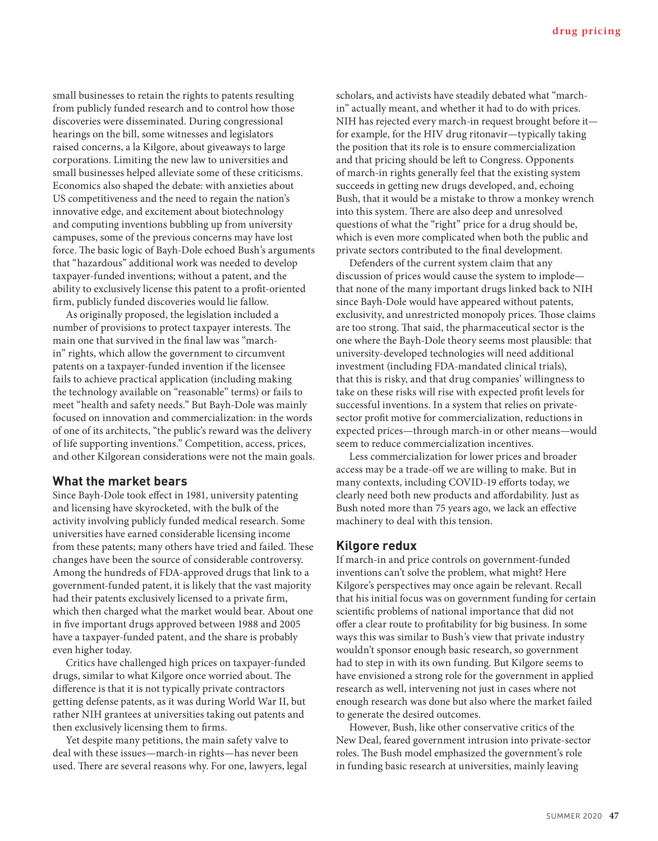small businesses to retain the rights to patents resulting from publicly funded research and to control how those discoveries were disseminated. During congressional hearings on the bill, some witnesses and legislators raised concerns, a la Kilgore, about giveaways to large corporations. Limiting the new law to universities and small businesses helped alleviate some of these criticisms. Economics also shaped the debate: with anxieties about US competitiveness and the need to regain the nation's innovative edge, and excitement about biotechnology and computing inventions bubbling up from university campuses, some of the previous concerns may have lost force. The basic logic of Bayh-Dole echoed Bush's arguments that "hazardous" additional work was needed to develop taxpayer-funded inventions; without a patent, and the ability to exclusively license this patent to a profit-oriented firm, publicly funded discoveries would lie fallow.

As originally proposed, the legislation included a number of provisions to protect taxpayer interests. The main one that survived in the final law was "marchin" rights, which allow the government to circumvent patents on a taxpayer-funded invention if the licensee fails to achieve practical application (including making the technology available on "reasonable" terms) or fails to meet "health and safety needs." But Bayh-Dole was mainly focused on innovation and commercialization: in the words of one of its architects, "the public's reward was the delivery of life supporting inventions." Competition, access, prices, and other Kilgorean considerations were not the main goals.

#### **What the market bears**

Since Bayh-Dole took effect in 1981, university patenting and licensing have skyrocketed, with the bulk of the activity involving publicly funded medical research. Some universities have earned considerable licensing income from these patents; many others have tried and failed. These changes have been the source of considerable controversy. Among the hundreds of FDA-approved drugs that link to a government-funded patent, it is likely that the vast majority had their patents exclusively licensed to a private firm, which then charged what the market would bear. About one in five important drugs approved between 1988 and 2005 have a taxpayer-funded patent, and the share is probably even higher today.

Critics have challenged high prices on taxpayer-funded drugs, similar to what Kilgore once worried about. The difference is that it is not typically private contractors getting defense patents, as it was during World War II, but rather NIH grantees at universities taking out patents and then exclusively licensing them to firms.

Yet despite many petitions, the main safety valve to deal with these issues—march-in rights—has never been used. There are several reasons why. For one, lawyers, legal scholars, and activists have steadily debated what "marchin" actually meant, and whether it had to do with prices. NIH has rejected every march-in request brought before it for example, for the HIV drug ritonavir—typically taking the position that its role is to ensure commercialization and that pricing should be left to Congress. Opponents of march-in rights generally feel that the existing system succeeds in getting new drugs developed, and, echoing Bush, that it would be a mistake to throw a monkey wrench into this system. There are also deep and unresolved questions of what the "right" price for a drug should be, which is even more complicated when both the public and private sectors contributed to the final development.

Defenders of the current system claim that any discussion of prices would cause the system to implode that none of the many important drugs linked back to NIH since Bayh-Dole would have appeared without patents, exclusivity, and unrestricted monopoly prices. Those claims are too strong. That said, the pharmaceutical sector is the one where the Bayh-Dole theory seems most plausible: that university-developed technologies will need additional investment (including FDA-mandated clinical trials), that this is risky, and that drug companies' willingness to take on these risks will rise with expected profit levels for successful inventions. In a system that relies on privatesector profit motive for commercialization, reductions in expected prices—through march-in or other means—would seem to reduce commercialization incentives.

Less commercialization for lower prices and broader access may be a trade-off we are willing to make. But in many contexts, including COVID-19 efforts today, we clearly need both new products and affordability. Just as Bush noted more than 75 years ago, we lack an effective machinery to deal with this tension.

#### **Kilgore redux**

If march-in and price controls on government-funded inventions can't solve the problem, what might? Here Kilgore's perspectives may once again be relevant. Recall that his initial focus was on government funding for certain scientific problems of national importance that did not offer a clear route to profitability for big business. In some ways this was similar to Bush's view that private industry wouldn't sponsor enough basic research, so government had to step in with its own funding. But Kilgore seems to have envisioned a strong role for the government in applied research as well, intervening not just in cases where not enough research was done but also where the market failed to generate the desired outcomes.

However, Bush, like other conservative critics of the New Deal, feared government intrusion into private-sector roles. The Bush model emphasized the government's role in funding basic research at universities, mainly leaving